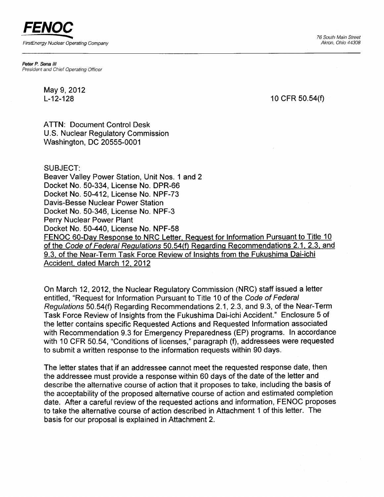FENOC FirstEnergy Nuclear Operating Company

76 South Main Street Akron, Ohio 44308

Peter P. Sena III President and Chief Operating Officer

> May 9, 2012 L-12-128

10 cFR 50.54(f)

ATTN: Document Control Desk U.S. Nuclear Regulatory Commission Washington, DC 20555-0001

SUBJECT:

Beaver Valley Power Station, Unit Nos. 1 and 2 Docket No. 50-334. License No. DPR-66 Docket No. 50-412, License No. NPF-73 Davis-Besse Nuclear Power Station Docket No. 50-346, License No. NPF-3 Perry Nuclear Power Plant Docket No. 50-440, License No. NPF-58 FENOC 60-Day Response to NRC Letter, Request for lnformation Pursuant to Title 10 of the Code of Federal Regulations 50.54(f) Regarding Recommendations 2.1, 2.3, and 9.3, of the Near-Term Task Force Review of Insiqhts from the Fukushima Dai-ichi Accident. dated March 12,2012

On March 12,2012, the Nuclear Regulatory Commission (NRC) staff issued a letter entitled, "Request for Information Pursuant to Title 10 of the Code of Federal Regulations 50.54(f) Regarding Recommendations 2.1,2.3, and 9.3, of the Near-Term Task Force Review of Insights from the Fukushima Dai-ichi Accident." Enclosure 5 of the letter contains specific Requested Actions and Requested Information associated with Recommendation 9.3 for Emergency Preparedness (EP) programs. In accordance with 10 CFR 50.54, "Conditions of licenses," paragraph (f), addressees were requested to submit a written response to the information requests within 90 days.

The letter states that if an addressee cannot meet the requested response date, then the addressee must provide a response within 60 days of the date of the letter and describe the alternative course of action that it proposes to take, including the basis of the acceptability of the proposed alternative course of action and estimated completion date. After a careful review of the requested actions and information, FENOC proposes to take the alternative course of action described in Attachment 1of this letter. The basis for our proposal is explained in Attachment 2.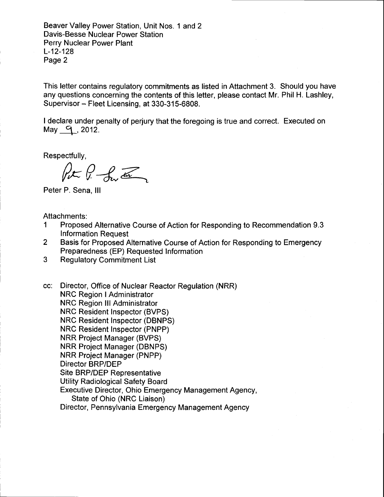Beaver Valley Power Station, Unit Nos. 1 and 2 Davis-Besse Nuclear Power Station Perry Nuclear Power Plant L-12-128 Page 2

This letter contains regulatory commitments as listed in Attachment 3. Should you have any questions concerning the contents of this letter, please contact Mr. Phil H. Lashley, Supervisor - Fleet Licensing, at 330-315-6808.

I declare under penalty of perjury that the foregoing is true and correct. Executed on May  $9$ , 2012.

Respectfully,

 $\n *fr*  $*fr* <sub>em</sub> <sub>em</sub>$$ 

Peter P. Sena, lll

Attachments:

- 1 Proposed Alternative Course of Action for Responding to Recommendation 9.3 Information Request
- 2 Basis for Proposed Alternative Course of Action for Responding to Emergency Preparedness (EP) Requested Information
- 3 Regulatory Commitment List

cc: Director, Office of Nuclear Reactor Regulation (NRR) **NRC Region I Administrator** NRC Region lll Administrator NRC Resident Inspector (BVPS) NRC Resident Inspector (DBNPS) NRC Resident Inspector (PNPP) NRR Project Manager (BVPS) NRR Project Manager (DBNPS) NRR Project Manager (PNPP) Director BRP/DEP Site BRP/DEP Representative Utility Radiological Safety Board Executive Director, Ohio Emergency Management Agency, State of Ohio (NRC Liaison) Director, Pennsylvania Emergency Management Agency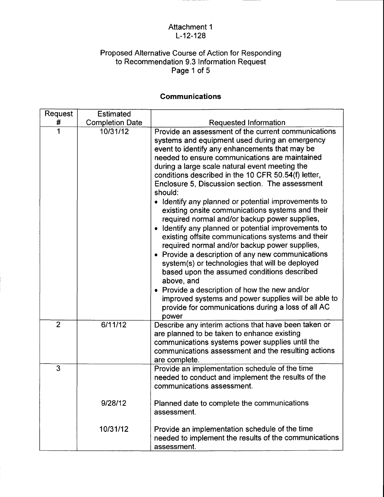### Attachment 1 L-12-128

#### Proposed Alternative Course of Action for Responding to Recommendation 9.3 Information Request Page 1 of 5

# **Communications**

| Request        | <b>Estimated</b>       |                                                                                                                                                                                                                                                                                                                                                                                                                                                                                                                                                                                                                                                                                                                                                                                                                                                                                                                                                                                                                                                                  |
|----------------|------------------------|------------------------------------------------------------------------------------------------------------------------------------------------------------------------------------------------------------------------------------------------------------------------------------------------------------------------------------------------------------------------------------------------------------------------------------------------------------------------------------------------------------------------------------------------------------------------------------------------------------------------------------------------------------------------------------------------------------------------------------------------------------------------------------------------------------------------------------------------------------------------------------------------------------------------------------------------------------------------------------------------------------------------------------------------------------------|
| #              | <b>Completion Date</b> | Requested Information                                                                                                                                                                                                                                                                                                                                                                                                                                                                                                                                                                                                                                                                                                                                                                                                                                                                                                                                                                                                                                            |
| 1              | 10/31/12               | Provide an assessment of the current communications<br>systems and equipment used during an emergency<br>event to identify any enhancements that may be<br>needed to ensure communications are maintained<br>during a large scale natural event meeting the<br>conditions described in the 10 CFR 50.54(f) letter,<br>Enclosure 5, Discussion section. The assessment<br>should:<br>• Identify any planned or potential improvements to<br>existing onsite communications systems and their<br>required normal and/or backup power supplies,<br>Identify any planned or potential improvements to<br>$\bullet$<br>existing offsite communications systems and their<br>required normal and/or backup power supplies,<br>• Provide a description of any new communications<br>system(s) or technologies that will be deployed<br>based upon the assumed conditions described<br>above, and<br>• Provide a description of how the new and/or<br>improved systems and power supplies will be able to<br>provide for communications during a loss of all AC<br>power |
| $\overline{2}$ | 6/11/12                | Describe any interim actions that have been taken or<br>are planned to be taken to enhance existing<br>communications systems power supplies until the<br>communications assessment and the resulting actions<br>are complete.                                                                                                                                                                                                                                                                                                                                                                                                                                                                                                                                                                                                                                                                                                                                                                                                                                   |
| 3              |                        | Provide an implementation schedule of the time<br>needed to conduct and implement the results of the<br>communications assessment.                                                                                                                                                                                                                                                                                                                                                                                                                                                                                                                                                                                                                                                                                                                                                                                                                                                                                                                               |
|                | 9/28/12                | Planned date to complete the communications<br>assessment.                                                                                                                                                                                                                                                                                                                                                                                                                                                                                                                                                                                                                                                                                                                                                                                                                                                                                                                                                                                                       |
|                | 10/31/12               | Provide an implementation schedule of the time<br>needed to implement the results of the communications<br>assessment.                                                                                                                                                                                                                                                                                                                                                                                                                                                                                                                                                                                                                                                                                                                                                                                                                                                                                                                                           |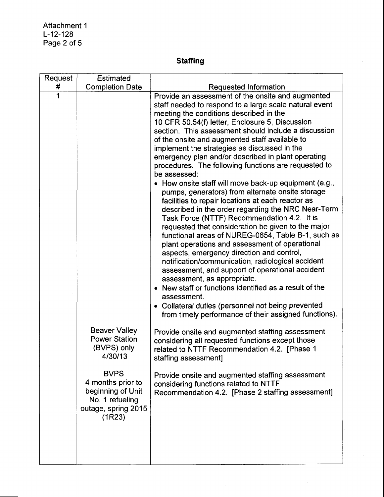Attachment 1 L-12-128 Page 2 of 5

# Staffing

| Request | <b>Estimated</b>                                                                                                                                                                    |                                                                                                                                                                                                                                                                                                                                                                                                                                                                                                                                                                                                                                                                                                                                                                                                                                                                                                                                                                                                                                                                                                                                                                                                                                                                                                                                                                                                                                                                                                                                                                                                                                                  |
|---------|-------------------------------------------------------------------------------------------------------------------------------------------------------------------------------------|--------------------------------------------------------------------------------------------------------------------------------------------------------------------------------------------------------------------------------------------------------------------------------------------------------------------------------------------------------------------------------------------------------------------------------------------------------------------------------------------------------------------------------------------------------------------------------------------------------------------------------------------------------------------------------------------------------------------------------------------------------------------------------------------------------------------------------------------------------------------------------------------------------------------------------------------------------------------------------------------------------------------------------------------------------------------------------------------------------------------------------------------------------------------------------------------------------------------------------------------------------------------------------------------------------------------------------------------------------------------------------------------------------------------------------------------------------------------------------------------------------------------------------------------------------------------------------------------------------------------------------------------------|
| #       | <b>Completion Date</b>                                                                                                                                                              | Requested Information                                                                                                                                                                                                                                                                                                                                                                                                                                                                                                                                                                                                                                                                                                                                                                                                                                                                                                                                                                                                                                                                                                                                                                                                                                                                                                                                                                                                                                                                                                                                                                                                                            |
| 1       | <b>Beaver Valley</b><br><b>Power Station</b><br>(BVPS) only<br>4/30/13<br><b>BVPS</b><br>4 months prior to<br>beginning of Unit<br>No. 1 refueling<br>outage, spring 2015<br>(1R23) | Provide an assessment of the onsite and augmented<br>staff needed to respond to a large scale natural event<br>meeting the conditions described in the<br>10 CFR 50.54(f) letter, Enclosure 5, Discussion<br>section. This assessment should include a discussion<br>of the onsite and augmented staff available to<br>implement the strategies as discussed in the<br>emergency plan and/or described in plant operating<br>procedures. The following functions are requested to<br>be assessed:<br>How onsite staff will move back-up equipment (e.g.,<br>pumps, generators) from alternate onsite storage<br>facilities to repair locations at each reactor as<br>described in the order regarding the NRC Near-Term<br>Task Force (NTTF) Recommendation 4.2. It is<br>requested that consideration be given to the major<br>functional areas of NUREG-0654, Table B-1, such as<br>plant operations and assessment of operational<br>aspects, emergency direction and control,<br>notification/communication, radiological accident<br>assessment, and support of operational accident<br>assessment, as appropriate.<br>New staff or functions identified as a result of the<br>assessment.<br>• Collateral duties (personnel not being prevented<br>from timely performance of their assigned functions).<br>Provide onsite and augmented staffing assessment<br>considering all requested functions except those<br>related to NTTF Recommendation 4.2. [Phase 1<br>staffing assessment]<br>Provide onsite and augmented staffing assessment<br>considering functions related to NTTF<br>Recommendation 4.2. [Phase 2 staffing assessment] |
|         |                                                                                                                                                                                     |                                                                                                                                                                                                                                                                                                                                                                                                                                                                                                                                                                                                                                                                                                                                                                                                                                                                                                                                                                                                                                                                                                                                                                                                                                                                                                                                                                                                                                                                                                                                                                                                                                                  |
|         |                                                                                                                                                                                     |                                                                                                                                                                                                                                                                                                                                                                                                                                                                                                                                                                                                                                                                                                                                                                                                                                                                                                                                                                                                                                                                                                                                                                                                                                                                                                                                                                                                                                                                                                                                                                                                                                                  |
|         |                                                                                                                                                                                     |                                                                                                                                                                                                                                                                                                                                                                                                                                                                                                                                                                                                                                                                                                                                                                                                                                                                                                                                                                                                                                                                                                                                                                                                                                                                                                                                                                                                                                                                                                                                                                                                                                                  |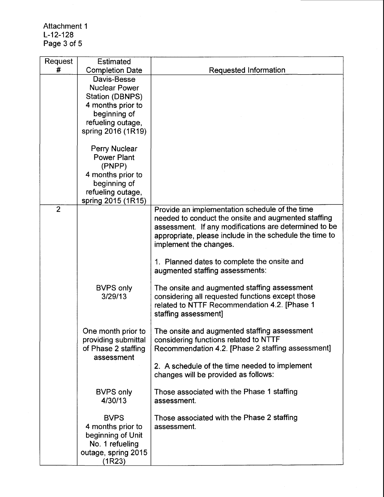Attachment 1 L-12-128 Page 3 of 5

| Request        | Estimated                                                                                                                              |                                                                                                                                                                                                                                                                                                                                       |  |
|----------------|----------------------------------------------------------------------------------------------------------------------------------------|---------------------------------------------------------------------------------------------------------------------------------------------------------------------------------------------------------------------------------------------------------------------------------------------------------------------------------------|--|
| #              | <b>Completion Date</b>                                                                                                                 | <b>Requested Information</b>                                                                                                                                                                                                                                                                                                          |  |
|                | Davis-Besse<br><b>Nuclear Power</b><br>Station (DBNPS)<br>4 months prior to<br>beginning of<br>refueling outage,<br>spring 2016 (1R19) |                                                                                                                                                                                                                                                                                                                                       |  |
|                | Perry Nuclear<br><b>Power Plant</b><br>(PNPP)<br>4 months prior to<br>beginning of<br>refueling outage,<br>spring 2015 (1R15)          |                                                                                                                                                                                                                                                                                                                                       |  |
| $\overline{2}$ |                                                                                                                                        | Provide an implementation schedule of the time<br>needed to conduct the onsite and augmented staffing<br>assessment. If any modifications are determined to be<br>appropriate, please include in the schedule the time to<br>implement the changes.<br>1. Planned dates to complete the onsite and<br>augmented staffing assessments: |  |
|                | <b>BVPS only</b><br>3/29/13                                                                                                            | The onsite and augmented staffing assessment<br>considering all requested functions except those<br>related to NTTF Recommendation 4.2. [Phase 1<br>staffing assessment]                                                                                                                                                              |  |
|                | One month prior to<br>providing submittal<br>of Phase 2 staffing<br>assessment                                                         | The onsite and augmented staffing assessment<br>considering functions related to NTTF<br>Recommendation 4.2. [Phase 2 staffing assessment]<br>2. A schedule of the time needed to implement<br>changes will be provided as follows:                                                                                                   |  |
|                | <b>BVPS only</b><br>4/30/13                                                                                                            | Those associated with the Phase 1 staffing<br>assessment.                                                                                                                                                                                                                                                                             |  |
|                | <b>BVPS</b><br>4 months prior to<br>beginning of Unit<br>No. 1 refueling<br>outage, spring 2015<br>(1R23)                              | Those associated with the Phase 2 staffing<br>assessment.                                                                                                                                                                                                                                                                             |  |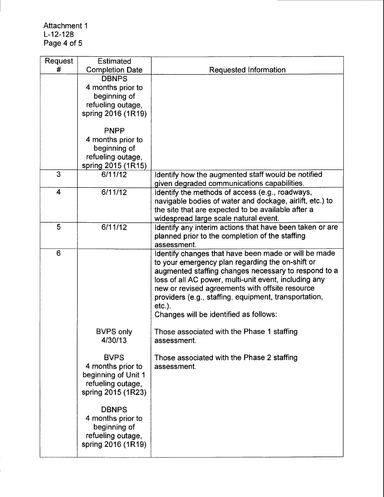| Request                 | <b>Estimated</b>                                                                                   |                                                                                                                                                                                                                                                                                                                                                                                              |  |
|-------------------------|----------------------------------------------------------------------------------------------------|----------------------------------------------------------------------------------------------------------------------------------------------------------------------------------------------------------------------------------------------------------------------------------------------------------------------------------------------------------------------------------------------|--|
| #                       | <b>Completion Date</b>                                                                             | Requested Information                                                                                                                                                                                                                                                                                                                                                                        |  |
|                         | <b>DBNPS</b><br>4 months prior to<br>beginning of<br>refueling outage,<br>spring 2016 (1R19)       |                                                                                                                                                                                                                                                                                                                                                                                              |  |
|                         | <b>PNPP</b><br>4 months prior to<br>beginning of<br>refueling outage,<br>spring 2015 (1R15)        |                                                                                                                                                                                                                                                                                                                                                                                              |  |
| 3                       | 6/11/12                                                                                            | Identify how the augmented staff would be notified<br>given degraded communications capabilities.                                                                                                                                                                                                                                                                                            |  |
| $\overline{\mathbf{4}}$ | 6/11/12                                                                                            | Identify the methods of access (e.g., roadways,<br>navigable bodies of water and dockage, airlift, etc.) to<br>the site that are expected to be available after a<br>widespread large scale natural event.                                                                                                                                                                                   |  |
| 5                       | 6/11/12                                                                                            | Identify any interim actions that have been taken or are<br>planned prior to the completion of the staffing<br>assessment.                                                                                                                                                                                                                                                                   |  |
| 6                       |                                                                                                    | Identify changes that have been made or will be made<br>to your emergency plan regarding the on-shift or<br>augmented staffing changes necessary to respond to a<br>loss of all AC power, multi-unit event, including any<br>new or revised agreements with offsite resource<br>providers (e.g., staffing, equipment, transportation,<br>$etc.$ ).<br>Changes will be identified as follows: |  |
|                         | <b>BVPS only</b><br>4/30/13                                                                        | Those associated with the Phase 1 staffing<br>assessment.                                                                                                                                                                                                                                                                                                                                    |  |
|                         | <b>BVPS</b><br>4 months prior to<br>beginning of Unit 1<br>refueling outage,<br>spring 2015 (1R23) | Those associated with the Phase 2 staffing<br>assessment.                                                                                                                                                                                                                                                                                                                                    |  |
|                         | <b>DBNPS</b><br>4 months prior to<br>beginning of<br>refueling outage,<br>spring 2016 (1R19)       |                                                                                                                                                                                                                                                                                                                                                                                              |  |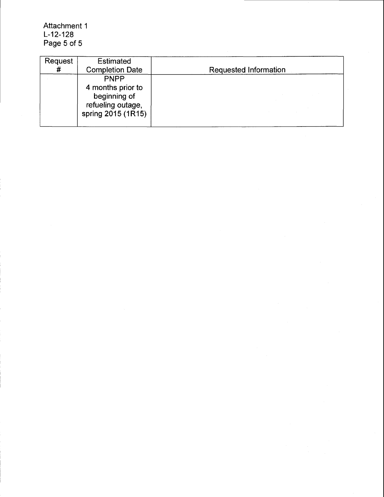Attachment 1 L-12-128 Page 5 of 5

| Request<br># | <b>Estimated</b><br><b>Completion Date</b>                                                  | Requested Information |
|--------------|---------------------------------------------------------------------------------------------|-----------------------|
|              | <b>PNPP</b><br>4 months prior to<br>beginning of<br>refueling outage,<br>spring 2015 (1R15) |                       |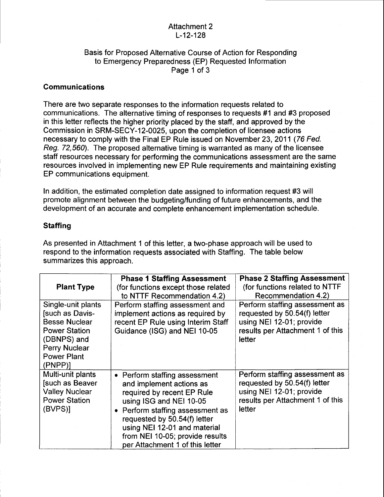#### Attachment 2 L-12-128

#### Basis for Proposed Alternative Course of Action for Responding to Emergency Preparedness (EP) Requested Information Page 1 of 3

#### Communications

There are two separate responses to the information requests related to communications. The alternative timing of responses to requests #1 and #3 proposed in this letter reflects the higher priority placed by the staff, and approved by the Commission in SRM-SECY-12-0025, upon the completion of licensee actions necessary to comply with the Final EP Rule issued on November 23,2011 (76 Fed. Reg. 72,560). The proposed alternative timing is warranted as many of the licensee staff resources necessary for performing the communications assessment are the same resources involved in implementing new EP Rule requirements and maintaining existing EP communications equipment.

ln addition, the estimated completion date assigned to information request #3 will promote alignment between the budgeting/funding of future enhancements, and the development of an accurate and complete enhancement implementation schedule.

#### **Staffing**

As presented in Attachment 1 of this letter, a two-phase approach will be used to respond to the information requests associated with Staffing. The table below summarizes this approach.

|                                                                                                                                                       | <b>Phase 1 Staffing Assessment</b>                                                                                                                                                                                                                                                         | <b>Phase 2 Staffing Assessment</b>                                                                                                       |
|-------------------------------------------------------------------------------------------------------------------------------------------------------|--------------------------------------------------------------------------------------------------------------------------------------------------------------------------------------------------------------------------------------------------------------------------------------------|------------------------------------------------------------------------------------------------------------------------------------------|
| <b>Plant Type</b>                                                                                                                                     | (for functions except those related<br>to NTTF Recommendation 4.2)                                                                                                                                                                                                                         | (for functions related to NTTF<br>Recommendation 4.2)                                                                                    |
| Single-unit plants<br>[such as Davis-<br><b>Besse Nuclear</b><br><b>Power Station</b><br>(DBNPS) and<br>Perry Nuclear<br><b>Power Plant</b><br>(PNPP) | Perform staffing assessment and<br>implement actions as required by<br>recent EP Rule using Interim Staff<br>Guidance (ISG) and NEI 10-05                                                                                                                                                  | Perform staffing assessment as<br>requested by 50.54(f) letter<br>using NEI 12-01; provide<br>results per Attachment 1 of this<br>letter |
| Multi-unit plants<br><b>Such as Beaver</b><br><b>Valley Nuclear</b><br><b>Power Station</b><br>(BVPS)]                                                | • Perform staffing assessment<br>and implement actions as<br>required by recent EP Rule<br>using ISG and NEI 10-05<br>Perform staffing assessment as<br>requested by 50.54(f) letter<br>using NEI 12-01 and material<br>from NEI 10-05; provide results<br>per Attachment 1 of this letter | Perform staffing assessment as<br>requested by 50.54(f) letter<br>using NEI 12-01; provide<br>results per Attachment 1 of this<br>letter |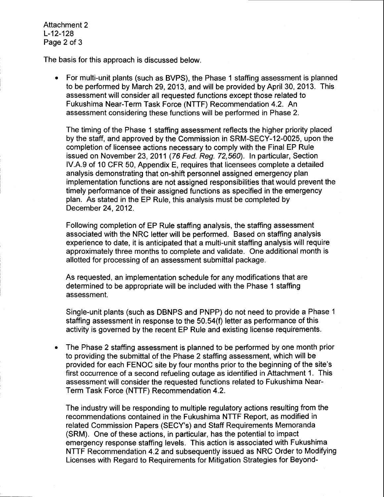Attachment 2 L-12-128 Page 2 of 3

The basis for this approach is discussed below.

For multi-unit plants (such as BVPS), the Phase 1 staffing assessment is planned to be performed by March 29,2013, and will be provided by April 30,2013. This assessment will consider all requested functions except those related to Fukushima Near-Term Task Force (NTTF) Recommendation 4.2. An assessment considering these functions will be performed in Phase 2.

The timing of the Phase 1 staffing assessment reflects the higher priority placed by the staff, and approved by the Commission in SRM-SECY-12-0025, upon the completion of licensee actions necessary to comply with the Final EP Rule issued on November 23, 2011 (76 Fed. Reg. 72,560). In particular, Section lV.A.g of 10 CFR 50, Appendix E, requires that licensees complete a detaibd analysis demonstrating that on-shift personnel assigned emergency plan implementation functions are not assigned responsibilities that would prevent the timely performance of their assigned functions as specified in the emergency plan. As stated in the EP Rule, this analysis must be completed by December 24,2012.

Following completion of EP Rule staffing analysis, the staffing assessment associated with the NRC letter will be performed. Based on staffing analysis experience to date, it is anticipated that a multi-unit staffing analysis will require approximately three months to complete and validate. One additional month is allotted for processing of an assessment submittal package.

As requested, an implementation schedule for any modifications that are determined to be appropriate will be included with the Phase 1 staffing assessment.

Single-unit plants (such as DBNPS and PNPP) do not need to provide a Phase 1 staffing assessment in response to the 50.54(f) letter as performance of this activity is governed by the recent EP Rule and existing license requirements.

. The Phase 2 staffing assessment is planned to be performed by one month prior to providing the submittal of the Phase 2 staffing assessment, which will be provided for each FENOC site by four months prior to the beginning of the site's first occurrence of a second refueling outage as identified in Attachment 1. This assessment will consider the requested functions related to Fukushima Near-Term Task Force (NTTF) Recommendation 4.2.

The industry will be responding to multiple regulatory actions resulting from the recommendations contained in the Fukushima NTTF Report, as modified in related Commission Papers (SECY's) and Staff Requirements Memoranda (SRM). One of these actions, in particular, has the potential to impact emergency response staffing levels. This action is associated with Fukushima NTTF Recommendation 4.2 and subsequently issued as NRC Order to Modifying Licenses with Regard to Requirements for Mitigation Strategies for Beyond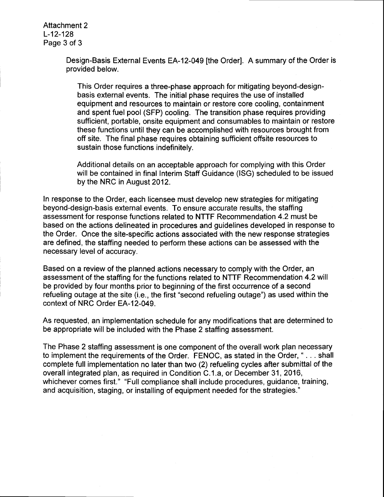Attachment 2 L-12-128 Page 3 of 3

> Design-Basis External Events EA-12-049 [the Order]. A summary of the Order is provided below.

This Order requires a three-phase approach for mitigating beyond-designbasis external events. The initial phase requires the use of installed equipment and resources to maintain or restore core cooling, containment and spent fuel pool (SFP) cooling. The transition phase requires providing sufficient, portable, onsite equipment and consumables to maintain or restore these functions until they can be accomplished with resources brought from off site. The final phase requires obtaining sufficient offsite resources to sustain those functions indefinitely.

Additional details on an acceptable approach for complying with this Order will be contained in final Interim Staff Guidance (lSG) scheduled to be issued by the NRC in August 2012.

ln response to the Order, each licensee must develop new strategies for mitigating beyond-design-basis external events. To ensure accurate results, the staffing assessment for response functions related to NTTF Recommendation 4.2 must be based on the actions delineated in procedures and guidelines developed in response to the Order. Once the site-specific actions associated with the new response strategies are defined, the staffing needed to perform these actions can be assessed with the necessary level of accuracy.

Based on a review of the planned actions necessary to comply with the Order, an assessment of the staffing for the functions related to NTTF Recommendation 4.2 will be provided by four months prior to beginning of the first occurrence of a second refueling outage at the site (i.e., the first "second refueling outage") as used within the context of NRC Order EA-12-049.

As requested, an implementation schedule for any modifications that are determined to be appropriate will be included with the Phase 2 staffing assessment.

The Phase 2 staffing assessment is one component of the overall work plan necessary to implement the requirements of the Order. FENOC, as stated in the Order, " . . . shall complete full implementation no later than two (2) refueling cycles after submittal of the overall integrated plan, as required in Condition C.1.a, or December 31,2016, whichever comes first." "Full compliance shall include procedures, guidance, training, and acquisition, staging, or installing of equipment needed for the strategies."